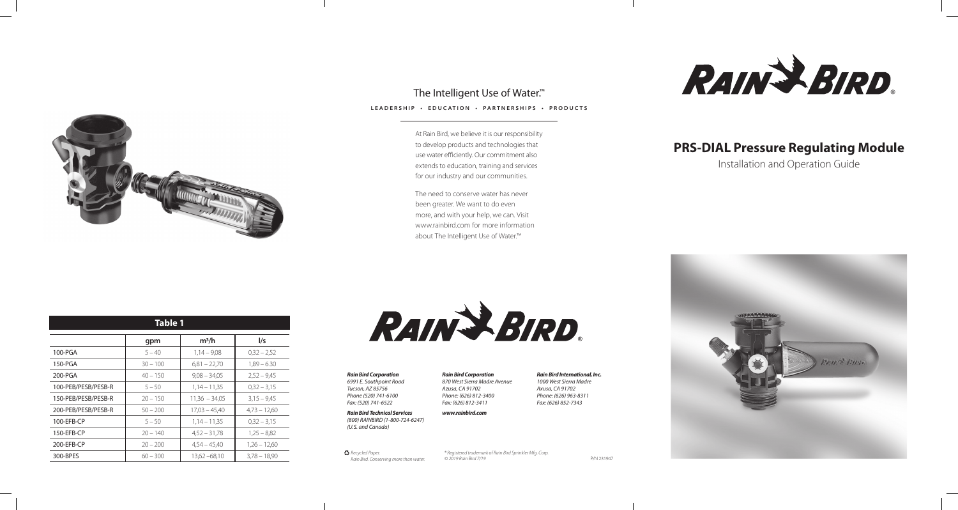

## The Intelligent Use of Water.<sup>™</sup>

# **PRS-DIAL Pressure Regulating Module**

Installation and Operation Guide



*Rain Bird Corporation*

*6991 E. Southpoint Road Tucson, AZ 85756 Phone (520) 741-6100 Fax: (520) 741-6522*

*Rain Bird Technical Services (800) RAINBIRD (1-800-724-6247) (U.S. and Canada)*

*Rain Bird Corporation 870 West Sierra Madre Avenue Azusa, CA 91702 Phone: (626) 812-3400 Fax: (626) 812-3411*

#### *www.rainbird.com*

*Rain Bird International, Inc.*

*1000 West Sierra Madre Axusa, CA 91702 Phone: (626) 963-8311 Fax: (626) 852-7343*

RAIN & BIRD.

C *Recycled Paper. Rain Bird. Conserving more than water.*

*® Registered trademark of Rain Bird Sprinkler Mfg. Corp. © 2019 Rain Bird 7/19* P/N 231947

| <b>Table 1</b>      |            |                 |                |
|---------------------|------------|-----------------|----------------|
|                     | gpm        | $m^3/h$         | $\frac{1}{s}$  |
| 100-PGA             | $5 - 40$   | $1,14 - 9,08$   | $0,32 - 2,52$  |
| 150-PGA             | $30 - 100$ | $6,81 - 22,70$  | $1,89 - 6.30$  |
| 200-PGA             | $40 - 150$ | $9,08 - 34,05$  | $2,52 - 9,45$  |
| 100-PEB/PESB/PESB-R | $5 - 50$   | $1,14 - 11,35$  | $0,32 - 3,15$  |
| 150-PEB/PESB/PESB-R | $20 - 150$ | $11,36 - 34,05$ | $3,15 - 9,45$  |
| 200-PEB/PESB/PESB-R | $50 - 200$ | $17,03 - 45,40$ | $4,73 - 12,60$ |
| 100-EFB-CP          | $5 - 50$   | $1,14 - 11,35$  | $0,32 - 3,15$  |
| 150-EFB-CP          | $20 - 140$ | $4,52 - 31,78$  | $1,25 - 8,82$  |
| 200-EFB-CP          | $20 - 200$ | $4,54 - 45,40$  | $1,26 - 12,60$ |
| 300-BPES            | $60 - 300$ | $13,62 - 68,10$ | $3.78 - 18.90$ |



#### **LEADERSHIP • EDUCATION • PARTNERSHIPS • PRODUCTS**

At Rain Bird, we believe it is our responsibility to develop products and technologies that use water efficiently. Our commitment also extends to education, training and services for our industry and our communities.

The need to conserve water has never been greater. We want to do even more, and with your help, we can. Visit www.rainbird.com for more information about The Intelligent Use of Water.™